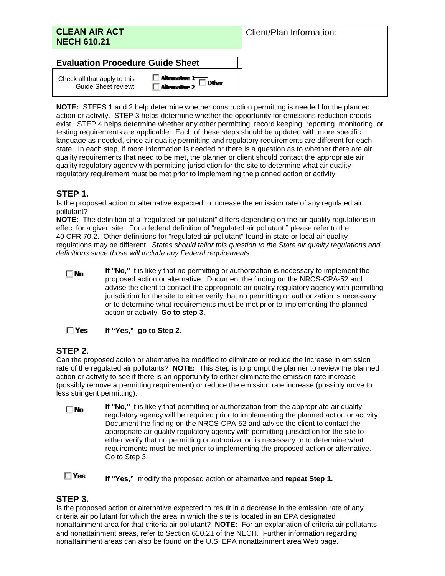| <b>CLEAN AIR ACT</b><br><b>NECH 610.21</b>          |                                                       | Client/Plan Information: |
|-----------------------------------------------------|-------------------------------------------------------|--------------------------|
| <b>Evaluation Procedure Guide Sheet</b>             |                                                       |                          |
| Check all that apply to this<br>Guide Sheet review: | □ Allemalive 1 ==== other<br>□ Allemalive 2 === Other |                          |

**NOTE:** STEPS 1 and 2 help determine whether construction permitting is needed for the planned action or activity. STEP 3 helps determine whether the opportunity for emissions reduction credits exist. STEP 4 helps determine whether any other permitting, record keeping, reporting, monitoring, or testing requirements are applicable. Each of these steps should be updated with more specific language as needed, since air quality permitting and regulatory requirements are different for each state. In each step, if more information is needed or there is a question as to whether there are air quality requirements that need to be met, the planner or client should contact the appropriate air quality regulatory agency with permitting jurisdiction for the site to determine what air quality regulatory requirement must be met prior to implementing the planned action or activity.

## **STEP 1.**

Is the proposed action or alternative expected to increase the emission rate of any regulated air pollutant?

**NOTE:** The definition of a "regulated air pollutant" differs depending on the air quality regulations in effect for a given site. For a federal definition of "regulated air pollutant," please refer to the 40 CFR 70.2. Other definitions for "regulated air pollutant" found in state or local air quality regulations may be different. *States should tailor this question to the State air quality regulations and definitions since those will include any Federal requirements.*

**If "No,"** it is likely that no permitting or authorization is necessary to implement the  $\Box$ No proposed action or alternative. Document the finding on the NRCS-CPA-52 and advise the client to contact the appropriate air quality regulatory agency with permitting jurisdiction for the site to either verify that no permitting or authorization is necessary or to determine what requirements must be met prior to implementing the planned action or activity. **Go to step 3.**

 $\Box$  Yes **If "Yes," go to Step 2.** 

## **STEP 2.**

Can the proposed action or alternative be modified to eliminate or reduce the increase in emission rate of the regulated air pollutants? **NOTE:** This Step is to prompt the planner to review the planned action or activity to see if there is an opportunity to either eliminate the emission rate increase (possibly remove a permitting requirement) or reduce the emission rate increase (possibly move to less stringent permitting).

**If "No,"** it is likely that permitting or authorization from the appropriate air quality  $\Box$ No regulatory agency will be required prior to implementing the planned action or activity. Document the finding on the NRCS-CPA-52 and advise the client to contact the appropriate air quality regulatory agency with permitting jurisdiction for the site to either verify that no permitting or authorization is necessary or to determine what requirements must be met prior to implementing the proposed action or alternative. Go to Step 3.

 $\Box$  Yes **If "Yes,"** modify the proposed action or alternative and **repeat Step 1.**

# **STEP 3.**

Is the proposed action or alternative expected to result in a decrease in the emission rate of any criteria air pollutant for which the area in which the site is located in an EPA designated nonattainment area for that criteria air pollutant? **NOTE:** For an explanation of criteria air pollutants and nonattainment areas, refer to Section 610.21 of the NECH. Further information regarding nonattainment areas can also be found on the U.S. EPA nonattainment area Web page.